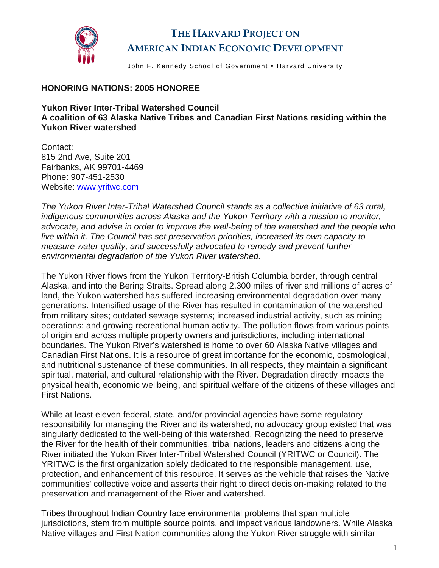

## **THE HARVARD PROJECT ON AMERICAN INDIAN ECONOMIC DEVELOPMENT**

John F. Kennedy School of Government . Harvard University

## **HONORING NATIONS: 2005 HONOREE**

## **Yukon River Inter-Tribal Watershed Council A coalition of 63 Alaska Native Tribes and Canadian First Nations residing within the Yukon River watershed**

Contact: 815 2nd Ave, Suite 201 Fairbanks, AK 99701-4469 Phone: 907-451-2530 Website: [www.yritwc.com](http://www.yritwc.com/) 

*The Yukon River Inter-Tribal Watershed Council stands as a collective initiative of 63 rural, indigenous communities across Alaska and the Yukon Territory with a mission to monitor, advocate, and advise in order to improve the well-being of the watershed and the people who live within it. The Council has set preservation priorities, increased its own capacity to measure water quality, and successfully advocated to remedy and prevent further environmental degradation of the Yukon River watershed.* 

The Yukon River flows from the Yukon Territory-British Columbia border, through central Alaska, and into the Bering Straits. Spread along 2,300 miles of river and millions of acres of land, the Yukon watershed has suffered increasing environmental degradation over many generations. Intensified usage of the River has resulted in contamination of the watershed from military sites; outdated sewage systems; increased industrial activity, such as mining operations; and growing recreational human activity. The pollution flows from various points of origin and across multiple property owners and jurisdictions, including international boundaries. The Yukon River's watershed is home to over 60 Alaska Native villages and Canadian First Nations. It is a resource of great importance for the economic, cosmological, and nutritional sustenance of these communities. In all respects, they maintain a significant spiritual, material, and cultural relationship with the River. Degradation directly impacts the physical health, economic wellbeing, and spiritual welfare of the citizens of these villages and First Nations.

While at least eleven federal, state, and/or provincial agencies have some regulatory responsibility for managing the River and its watershed, no advocacy group existed that was singularly dedicated to the well-being of this watershed. Recognizing the need to preserve the River for the health of their communities, tribal nations, leaders and citizens along the River initiated the Yukon River Inter-Tribal Watershed Council (YRITWC or Council). The YRITWC is the first organization solely dedicated to the responsible management, use, protection, and enhancement of this resource. It serves as the vehicle that raises the Native communities' collective voice and asserts their right to direct decision-making related to the preservation and management of the River and watershed.

Tribes throughout Indian Country face environmental problems that span multiple jurisdictions, stem from multiple source points, and impact various landowners. While Alaska Native villages and First Nation communities along the Yukon River struggle with similar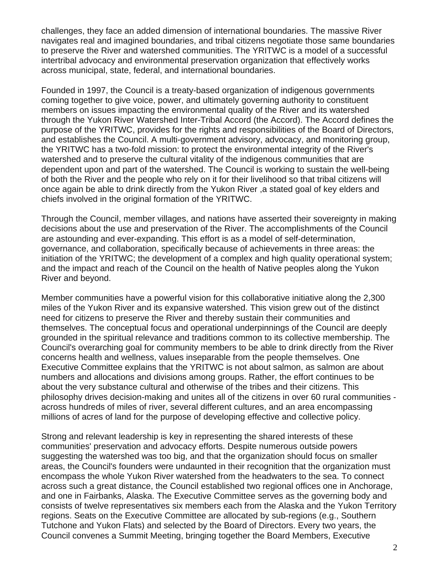challenges, they face an added dimension of international boundaries. The massive River navigates real and imagined boundaries, and tribal citizens negotiate those same boundaries to preserve the River and watershed communities. The YRITWC is a model of a successful intertribal advocacy and environmental preservation organization that effectively works across municipal, state, federal, and international boundaries.

Founded in 1997, the Council is a treaty-based organization of indigenous governments coming together to give voice, power, and ultimately governing authority to constituent members on issues impacting the environmental quality of the River and its watershed through the Yukon River Watershed Inter-Tribal Accord (the Accord). The Accord defines the purpose of the YRITWC, provides for the rights and responsibilities of the Board of Directors, and establishes the Council. A multi-government advisory, advocacy, and monitoring group, the YRITWC has a two-fold mission: to protect the environmental integrity of the River's watershed and to preserve the cultural vitality of the indigenous communities that are dependent upon and part of the watershed. The Council is working to sustain the well-being of both the River and the people who rely on it for their livelihood so that tribal citizens will once again be able to drink directly from the Yukon River ,a stated goal of key elders and chiefs involved in the original formation of the YRITWC.

Through the Council, member villages, and nations have asserted their sovereignty in making decisions about the use and preservation of the River. The accomplishments of the Council are astounding and ever-expanding. This effort is as a model of self-determination, governance, and collaboration, specifically because of achievements in three areas: the initiation of the YRITWC; the development of a complex and high quality operational system; and the impact and reach of the Council on the health of Native peoples along the Yukon River and beyond.

Member communities have a powerful vision for this collaborative initiative along the 2,300 miles of the Yukon River and its expansive watershed. This vision grew out of the distinct need for citizens to preserve the River and thereby sustain their communities and themselves. The conceptual focus and operational underpinnings of the Council are deeply grounded in the spiritual relevance and traditions common to its collective membership. The Council's overarching goal for community members to be able to drink directly from the River concerns health and wellness, values inseparable from the people themselves. One Executive Committee explains that the YRITWC is not about salmon, as salmon are about numbers and allocations and divisions among groups. Rather, the effort continues to be about the very substance cultural and otherwise of the tribes and their citizens. This philosophy drives decision-making and unites all of the citizens in over 60 rural communities across hundreds of miles of river, several different cultures, and an area encompassing millions of acres of land for the purpose of developing effective and collective policy.

Strong and relevant leadership is key in representing the shared interests of these communities' preservation and advocacy efforts. Despite numerous outside powers suggesting the watershed was too big, and that the organization should focus on smaller areas, the Council's founders were undaunted in their recognition that the organization must encompass the whole Yukon River watershed from the headwaters to the sea. To connect across such a great distance, the Council established two regional offices one in Anchorage, and one in Fairbanks, Alaska. The Executive Committee serves as the governing body and consists of twelve representatives six members each from the Alaska and the Yukon Territory regions. Seats on the Executive Committee are allocated by sub-regions (e.g., Southern Tutchone and Yukon Flats) and selected by the Board of Directors. Every two years, the Council convenes a Summit Meeting, bringing together the Board Members, Executive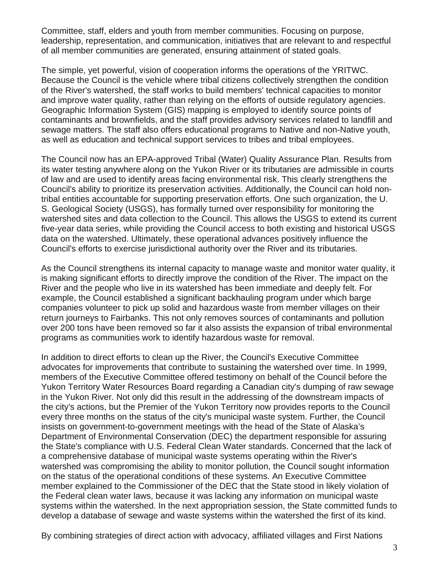Committee, staff, elders and youth from member communities. Focusing on purpose, leadership, representation, and communication, initiatives that are relevant to and respectful of all member communities are generated, ensuring attainment of stated goals.

The simple, yet powerful, vision of cooperation informs the operations of the YRITWC. Because the Council is the vehicle where tribal citizens collectively strengthen the condition of the River's watershed, the staff works to build members' technical capacities to monitor and improve water quality, rather than relying on the efforts of outside regulatory agencies. Geographic Information System (GIS) mapping is employed to identify source points of contaminants and brownfields, and the staff provides advisory services related to landfill and sewage matters. The staff also offers educational programs to Native and non-Native youth, as well as education and technical support services to tribes and tribal employees.

The Council now has an EPA-approved Tribal (Water) Quality Assurance Plan. Results from its water testing anywhere along on the Yukon River or its tributaries are admissible in courts of law and are used to identify areas facing environmental risk. This clearly strengthens the Council's ability to prioritize its preservation activities. Additionally, the Council can hold nontribal entities accountable for supporting preservation efforts. One such organization, the U. S. Geological Society (USGS), has formally turned over responsibility for monitoring the watershed sites and data collection to the Council. This allows the USGS to extend its current five-year data series, while providing the Council access to both existing and historical USGS data on the watershed. Ultimately, these operational advances positively influence the Council's efforts to exercise jurisdictional authority over the River and its tributaries.

As the Council strengthens its internal capacity to manage waste and monitor water quality, it is making significant efforts to directly improve the condition of the River. The impact on the River and the people who live in its watershed has been immediate and deeply felt. For example, the Council established a significant backhauling program under which barge companies volunteer to pick up solid and hazardous waste from member villages on their return journeys to Fairbanks. This not only removes sources of contaminants and pollution over 200 tons have been removed so far it also assists the expansion of tribal environmental programs as communities work to identify hazardous waste for removal.

In addition to direct efforts to clean up the River, the Council's Executive Committee advocates for improvements that contribute to sustaining the watershed over time. In 1999, members of the Executive Committee offered testimony on behalf of the Council before the Yukon Territory Water Resources Board regarding a Canadian city's dumping of raw sewage in the Yukon River. Not only did this result in the addressing of the downstream impacts of the city's actions, but the Premier of the Yukon Territory now provides reports to the Council every three months on the status of the city's municipal waste system. Further, the Council insists on government-to-government meetings with the head of the State of Alaska's Department of Environmental Conservation (DEC) the department responsible for assuring the State's compliance with U.S. Federal Clean Water standards. Concerned that the lack of a comprehensive database of municipal waste systems operating within the River's watershed was compromising the ability to monitor pollution, the Council sought information on the status of the operational conditions of these systems. An Executive Committee member explained to the Commissioner of the DEC that the State stood in likely violation of the Federal clean water laws, because it was lacking any information on municipal waste systems within the watershed. In the next appropriation session, the State committed funds to develop a database of sewage and waste systems within the watershed the first of its kind.

By combining strategies of direct action with advocacy, affiliated villages and First Nations